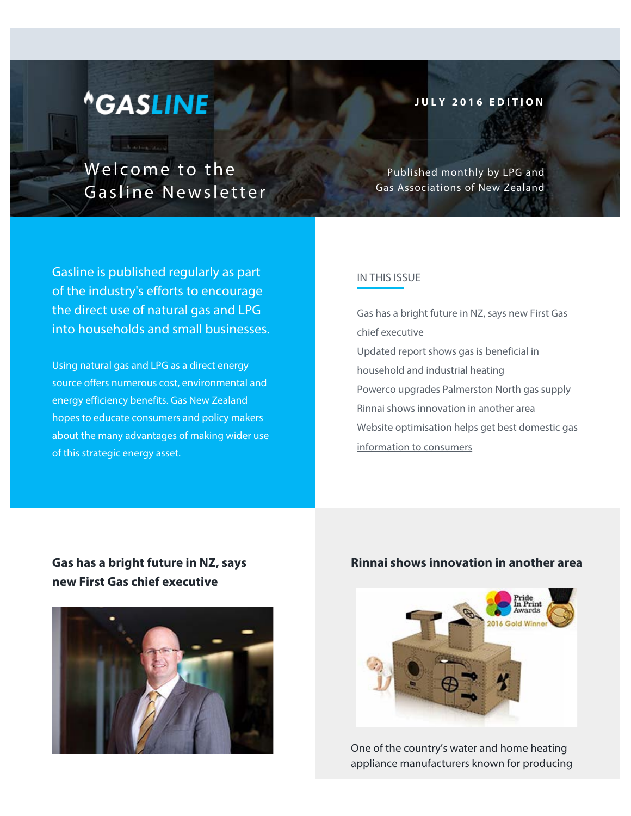# *<u>AGASLINE</u>*

**Contractor** 

Welcome to the Gasline Newsletter **JULY 2016 EDITION**

Published monthly by LPG and Gas Associations of New Zealand

Gasline is published regularly as part of the industry's efforts to encourage the direct use of natural gas and LPG into households and small businesses.

Using natural gas and LPG as a direct energy source offers numerous cost, environmental and energy efficiency benefits. Gas New Zealand hopes to educate consumers and policy makers about the many advantages of making wider use of this strategic energy asset.

## IN THIS ISSUE

[Gas has a bright future in NZ, says new First Gas](http://www.lpga.co.nz/newsletter/gasline-july2016.html#1) [chief executive](http://www.lpga.co.nz/newsletter/gasline-july2016.html#1) [Updated report shows gas is beneficial in](http://www.lpga.co.nz/newsletter/gasline-july2016.html#2) [household and industrial heating](http://www.lpga.co.nz/newsletter/gasline-july2016.html#2) [Powerco upgrades Palmerston North gas supply](http://www.lpga.co.nz/newsletter/gasline-july2016.html#3) [Rinnai shows innovation in another area](http://www.lpga.co.nz/newsletter/gasline-july2016.html#4) [Website optimisation helps get best domestic gas](http://www.lpga.co.nz/newsletter/gasline-july2016.html#5) [information to consumers](http://www.lpga.co.nz/newsletter/gasline-july2016.html#5)

## **Gas has a bright future in NZ, says new First Gas chief executive**



## **Rinnai shows innovation in another area**



One of the country's water and home heating appliance manufacturers known for producing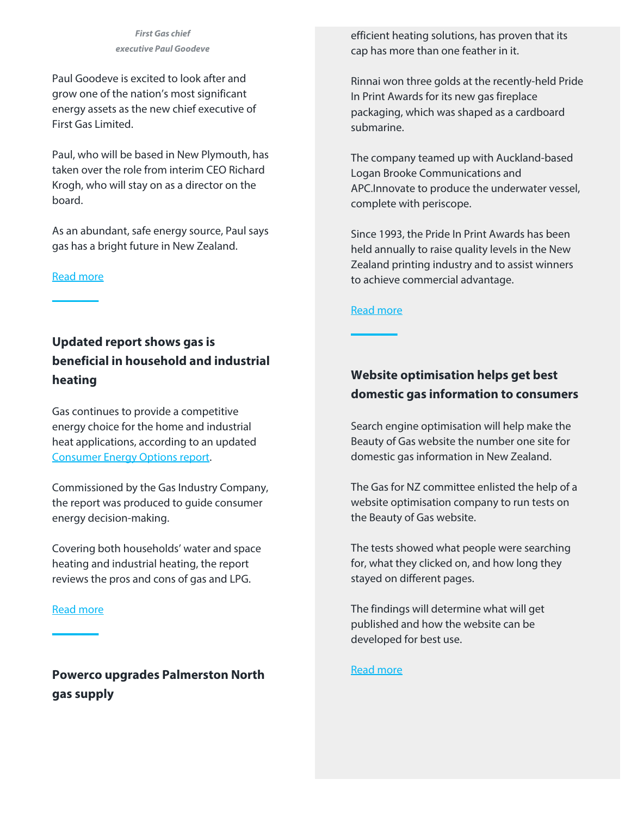*First Gas chief executive Paul Goodeve*

Paul Goodeve is excited to look after and grow one of the nation's most significant energy assets as the new chief executive of First Gas Limited.

Paul, who will be based in New Plymouth, has taken over the role from interim CEO Richard Krogh, who will stay on as a director on the board.

As an abundant, safe energy source, Paul says gas has a bright future in New Zealand.

#### [Read more](http://www.lpga.co.nz/first-gas-chief-executive-starts.php)

efficient heating solutions, has proven that its cap has more than one feather in it.

Rinnai won three golds at the recently-held Pride In Print Awards for its new gas fireplace packaging, which was shaped as a cardboard submarine.

The company teamed up with Auckland-based Logan Brooke Communications and APC.Innovate to produce the underwater vessel, complete with periscope.

Since 1993, the Pride In Print Awards has been held annually to raise quality levels in the New Zealand printing industry and to assist winners to achieve commercial advantage.

#### [Read more](http://www.lpga.co.nz/rinnai-shows-innovation-in-another-area.php)

# **Updated report shows gas is beneficial in household and industrial heating**

Gas continues to provide a competitive energy choice for the home and industrial heat applications, according to an updated [Consumer Energy Options report](http://gasindustry.co.nz/about-us/news-and-events/events/release-of-consumer-energy-options-in-new-zealand-2016-update-by-simon-coates/).

Commissioned by the Gas Industry Company, the report was produced to guide consumer energy decision-making.

Covering both households' water and space heating and industrial heating, the report reviews the pros and cons of gas and LPG.

#### [Read more](http://www.lpga.co.nz/updated-report-shows-gas-is-beneficial-in-household-and-industrial-heating.php)

**Powerco upgrades Palmerston North gas supply**

# **Website optimisation helps get best domestic gas information to consumers**

Search engine optimisation will help make the Beauty of Gas website the number one site for domestic gas information in New Zealand.

The Gas for NZ committee enlisted the help of a website optimisation company to run tests on the Beauty of Gas website.

The tests showed what people were searching for, what they clicked on, and how long they stayed on different pages.

The findings will determine what will get published and how the website can be developed for best use.

[Read more](http://www.lpga.co.nz/website-optimisation-helps-get-best-domestic-gas-information-to-consumers.php)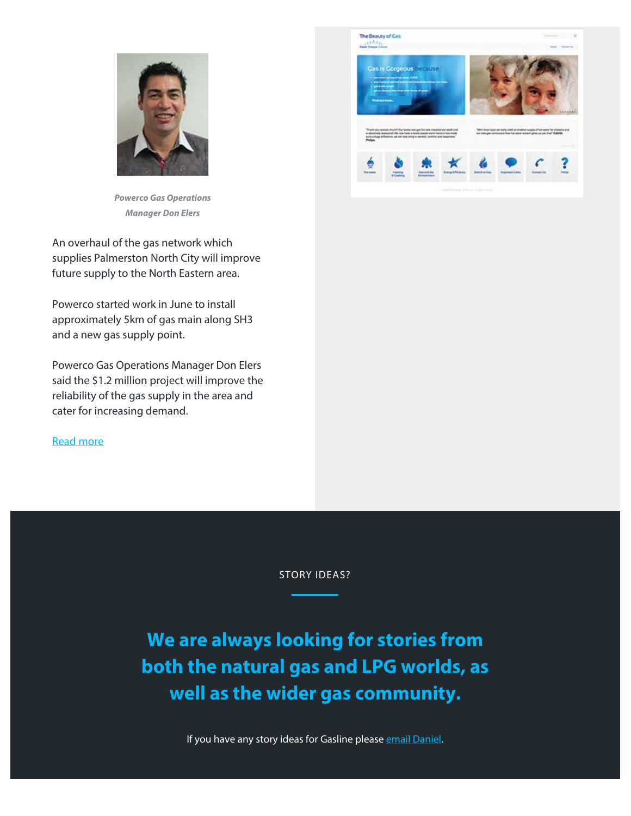

*Powerco Gas Operations Manager Don Elers*

An overhaul of the gas network which supplies Palmerston North City will improve future supply to the North Eastern area.

Powerco started work in June to install approximately 5km of gas main along SH3 and a new gas supply point.

Powerco Gas Operations Manager Don Elers said the \$1.2 million project will improve the reliability of the gas supply in the area and cater for increasing demand.

[Read more](http://www.lpga.co.nz/powerco-upgrades-palmerston-north-gas-supply.php)



STORY IDEAS?

**We are always looking for stories from both the natural gas and LPG worlds, as well as the wider gas community.**

If you have any story ideas for Gasline please [email Daniel](mailto:daniel@theprcompany.co.nz).